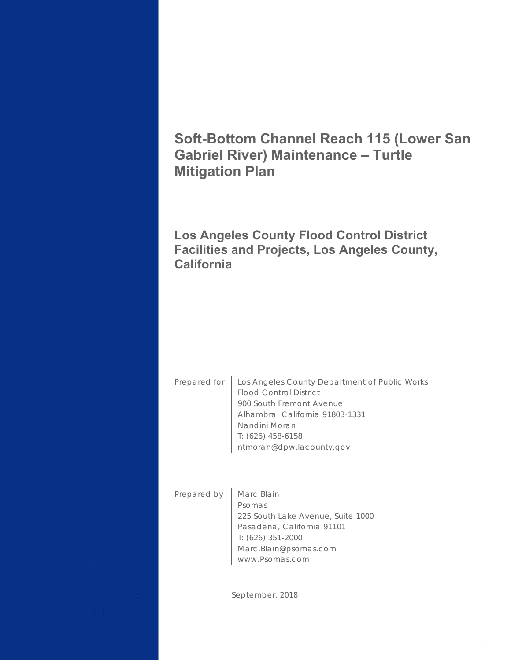# **Soft-Bottom Channel Reach 115 (Lower San Gabriel River) Maintenance – Turtle Mitigation Plan**

## **Los Angeles County Flood Control District Facilities and Projects, Los Angeles County, California**

Prepared for | Los Angeles County Department of Public Works Flood Control District 900 South Fremont Avenue Alhambra, California 91803-1331 Nandini Moran T: (626) 458-6158 ntmoran@dpw.lacounty.gov

Prepared by | Marc Blain Psomas 225 South Lake Avenue, Suite 1000 Pasadena, California 91101 T: (626) 351-2000 Marc.Blain@psomas.com www.Psomas.com

September, 2018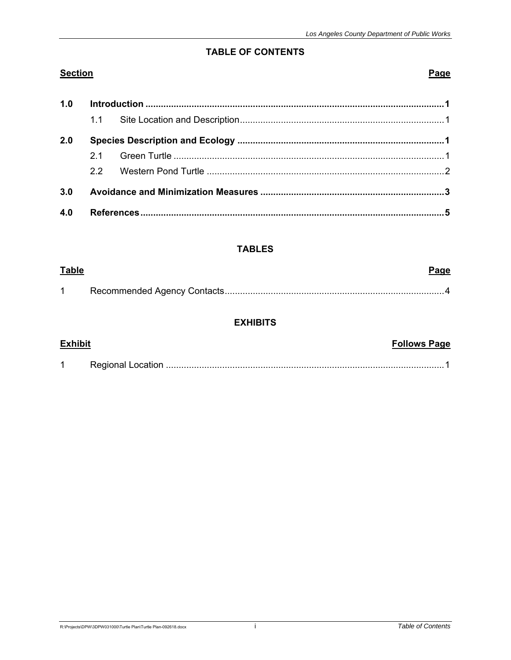#### **TABLE OF CONTENTS**

### **Section**

**Table** 

#### Page

Page

| 1.0 |    |  |  |
|-----|----|--|--|
|     |    |  |  |
| 2.0 |    |  |  |
|     | 21 |  |  |
|     | 22 |  |  |
| 3.0 |    |  |  |
| 4.0 |    |  |  |

### **TABLES**

#### **EXHIBITS**

| <b>Exhibit</b> | <b>Follows Page</b> |
|----------------|---------------------|
|                |                     |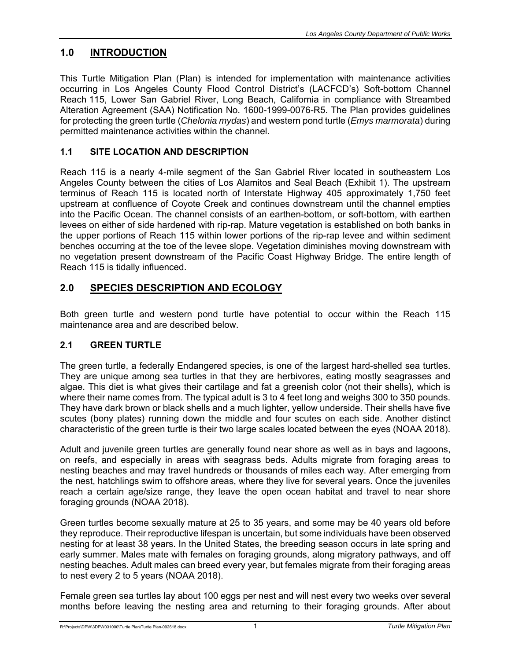### **1.0 INTRODUCTION**

This Turtle Mitigation Plan (Plan) is intended for implementation with maintenance activities occurring in Los Angeles County Flood Control District's (LACFCD's) Soft-bottom Channel Reach 115, Lower San Gabriel River, Long Beach, California in compliance with Streambed Alteration Agreement (SAA) Notification No. 1600-1999-0076-R5. The Plan provides guidelines for protecting the green turtle (*Chelonia mydas*) and western pond turtle (*Emys marmorata*) during permitted maintenance activities within the channel.

### **1.1 SITE LOCATION AND DESCRIPTION**

Reach 115 is a nearly 4-mile segment of the San Gabriel River located in southeastern Los Angeles County between the cities of Los Alamitos and Seal Beach (Exhibit 1). The upstream terminus of Reach 115 is located north of Interstate Highway 405 approximately 1,750 feet upstream at confluence of Coyote Creek and continues downstream until the channel empties into the Pacific Ocean. The channel consists of an earthen-bottom, or soft-bottom, with earthen levees on either of side hardened with rip-rap. Mature vegetation is established on both banks in the upper portions of Reach 115 within lower portions of the rip-rap levee and within sediment benches occurring at the toe of the levee slope. Vegetation diminishes moving downstream with no vegetation present downstream of the Pacific Coast Highway Bridge. The entire length of Reach 115 is tidally influenced.

### **2.0 SPECIES DESCRIPTION AND ECOLOGY**

Both green turtle and western pond turtle have potential to occur within the Reach 115 maintenance area and are described below.

### **2.1 GREEN TURTLE**

The green turtle, a federally Endangered species, is one of the largest hard-shelled sea turtles. They are unique among sea turtles in that they are herbivores, eating mostly seagrasses and algae. This diet is what gives their cartilage and fat a greenish color (not their shells), which is where their name comes from. The typical adult is 3 to 4 feet long and weighs 300 to 350 pounds. They have dark brown or black shells and a much lighter, yellow underside. Their shells have five scutes (bony plates) running down the middle and four scutes on each side. Another distinct characteristic of the green turtle is their two large scales located between the eyes (NOAA 2018).

Adult and juvenile green turtles are generally found near shore as well as in bays and lagoons, on reefs, and especially in areas with seagrass beds. Adults migrate from foraging areas to nesting beaches and may travel hundreds or thousands of miles each way. After emerging from the nest, hatchlings swim to offshore areas, where they live for several years. Once the juveniles reach a certain age/size range, they leave the open ocean habitat and travel to near shore foraging grounds (NOAA 2018).

Green turtles become sexually mature at 25 to 35 years, and some may be 40 years old before they reproduce. Their reproductive lifespan is uncertain, but some individuals have been observed nesting for at least 38 years. In the United States, the breeding season occurs in late spring and early summer. Males mate with females on foraging grounds, along migratory pathways, and off nesting beaches. Adult males can breed every year, but females migrate from their foraging areas to nest every 2 to 5 years (NOAA 2018).

Female green sea turtles lay about 100 eggs per nest and will nest every two weeks over several months before leaving the nesting area and returning to their foraging grounds. After about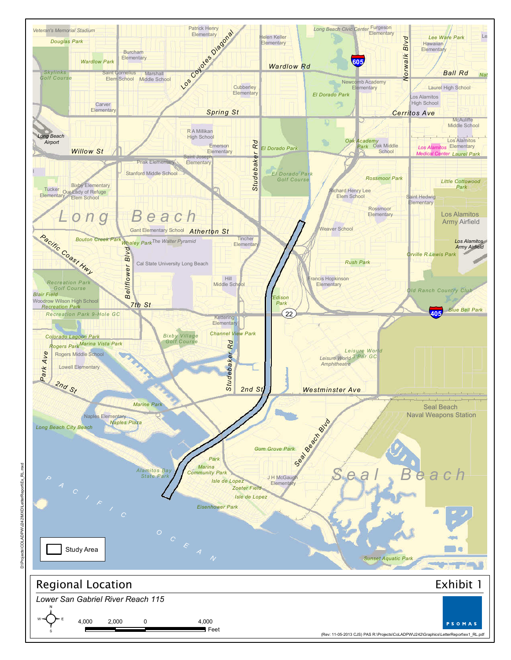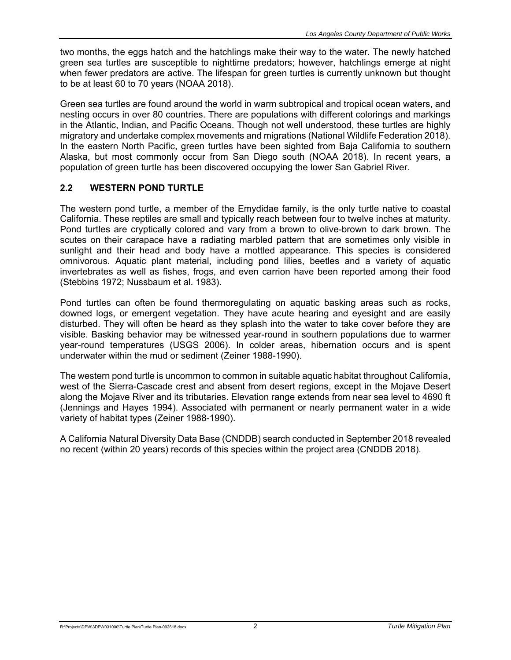two months, the eggs hatch and the hatchlings make their way to the water. The newly hatched green sea turtles are susceptible to nighttime predators; however, hatchlings emerge at night when fewer predators are active. The lifespan for green turtles is currently unknown but thought to be at least 60 to 70 years (NOAA 2018).

Green sea turtles are found around the world in warm subtropical and tropical ocean waters, and nesting occurs in over 80 countries. There are populations with different colorings and markings in the Atlantic, Indian, and Pacific Oceans. Though not well understood, these turtles are highly migratory and undertake complex movements and migrations (National Wildlife Federation 2018). In the eastern North Pacific, green turtles have been sighted from Baja California to southern Alaska, but most commonly occur from San Diego south (NOAA 2018). In recent years, a population of green turtle has been discovered occupying the lower San Gabriel River.

### **2.2 WESTERN POND TURTLE**

The western pond turtle, a member of the Emydidae family, is the only turtle native to coastal California. These reptiles are small and typically reach between four to twelve inches at maturity. Pond turtles are cryptically colored and vary from a brown to olive-brown to dark brown. The scutes on their carapace have a radiating marbled pattern that are sometimes only visible in sunlight and their head and body have a mottled appearance. This species is considered omnivorous. Aquatic plant material, including pond lilies, beetles and a variety of aquatic invertebrates as well as fishes, frogs, and even carrion have been reported among their food (Stebbins 1972; Nussbaum et al. 1983).

Pond turtles can often be found thermoregulating on aquatic basking areas such as rocks, downed logs, or emergent vegetation. They have acute hearing and eyesight and are easily disturbed. They will often be heard as they splash into the water to take cover before they are visible. Basking behavior may be witnessed year-round in southern populations due to warmer year-round temperatures (USGS 2006). In colder areas, hibernation occurs and is spent underwater within the mud or sediment (Zeiner 1988-1990).

The western pond turtle is uncommon to common in suitable aquatic habitat throughout California, west of the Sierra-Cascade crest and absent from desert regions, except in the Mojave Desert along the Mojave River and its tributaries. Elevation range extends from near sea level to 4690 ft (Jennings and Hayes 1994). Associated with permanent or nearly permanent water in a wide variety of habitat types (Zeiner 1988-1990).

A California Natural Diversity Data Base (CNDDB) search conducted in September 2018 revealed no recent (within 20 years) records of this species within the project area (CNDDB 2018).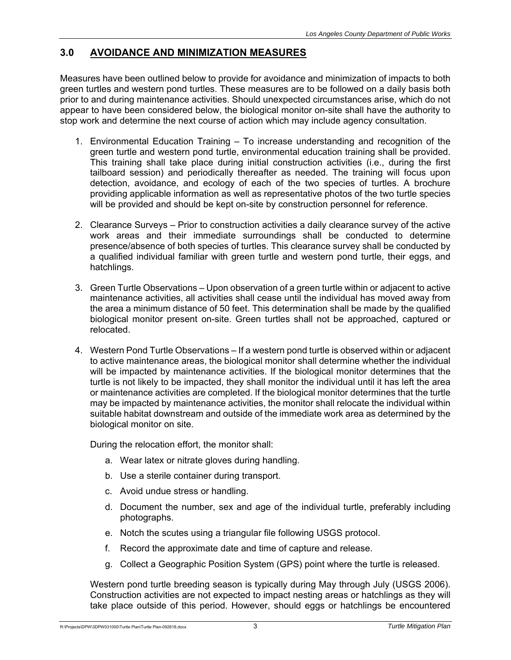### **3.0 AVOIDANCE AND MINIMIZATION MEASURES**

Measures have been outlined below to provide for avoidance and minimization of impacts to both green turtles and western pond turtles. These measures are to be followed on a daily basis both prior to and during maintenance activities. Should unexpected circumstances arise, which do not appear to have been considered below, the biological monitor on-site shall have the authority to stop work and determine the next course of action which may include agency consultation.

- 1. Environmental Education Training To increase understanding and recognition of the green turtle and western pond turtle, environmental education training shall be provided. This training shall take place during initial construction activities (i.e., during the first tailboard session) and periodically thereafter as needed. The training will focus upon detection, avoidance, and ecology of each of the two species of turtles. A brochure providing applicable information as well as representative photos of the two turtle species will be provided and should be kept on-site by construction personnel for reference.
- 2. Clearance Surveys Prior to construction activities a daily clearance survey of the active work areas and their immediate surroundings shall be conducted to determine presence/absence of both species of turtles. This clearance survey shall be conducted by a qualified individual familiar with green turtle and western pond turtle, their eggs, and hatchlings.
- 3. Green Turtle Observations Upon observation of a green turtle within or adjacent to active maintenance activities, all activities shall cease until the individual has moved away from the area a minimum distance of 50 feet. This determination shall be made by the qualified biological monitor present on-site. Green turtles shall not be approached, captured or relocated.
- 4. Western Pond Turtle Observations If a western pond turtle is observed within or adjacent to active maintenance areas, the biological monitor shall determine whether the individual will be impacted by maintenance activities. If the biological monitor determines that the turtle is not likely to be impacted, they shall monitor the individual until it has left the area or maintenance activities are completed. If the biological monitor determines that the turtle may be impacted by maintenance activities, the monitor shall relocate the individual within suitable habitat downstream and outside of the immediate work area as determined by the biological monitor on site.

During the relocation effort, the monitor shall:

- a. Wear latex or nitrate gloves during handling.
- b. Use a sterile container during transport.
- c. Avoid undue stress or handling.
- d. Document the number, sex and age of the individual turtle, preferably including photographs.
- e. Notch the scutes using a triangular file following USGS protocol.
- f. Record the approximate date and time of capture and release.
- g. Collect a Geographic Position System (GPS) point where the turtle is released.

Western pond turtle breeding season is typically during May through July (USGS 2006). Construction activities are not expected to impact nesting areas or hatchlings as they will take place outside of this period. However, should eggs or hatchlings be encountered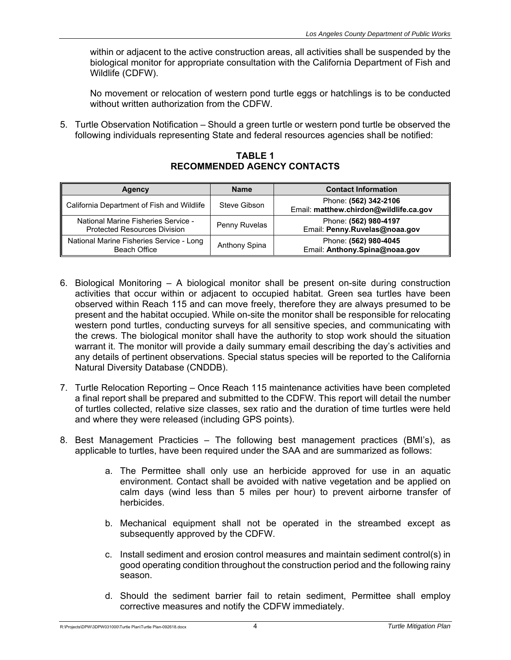within or adjacent to the active construction areas, all activities shall be suspended by the biological monitor for appropriate consultation with the California Department of Fish and Wildlife (CDFW).

No movement or relocation of western pond turtle eggs or hatchlings is to be conducted without written authorization from the CDFW.

5. Turtle Observation Notification – Should a green turtle or western pond turtle be observed the following individuals representing State and federal resources agencies shall be notified:

**TABLE 1 RECOMMENDED AGENCY CONTACTS** 

| <b>Agency</b>                                                              | <b>Name</b>   | <b>Contact Information</b>                                      |
|----------------------------------------------------------------------------|---------------|-----------------------------------------------------------------|
| California Department of Fish and Wildlife                                 | Steve Gibson  | Phone: (562) 342-2106<br>Email: matthew.chirdon@wildlife.ca.gov |
| National Marine Fisheries Service -<br><b>Protected Resources Division</b> | Penny Ruvelas | Phone: (562) 980-4197<br>Email: Penny.Ruvelas@noaa.gov          |
| National Marine Fisheries Service - Long<br>Beach Office                   | Anthony Spina | Phone: (562) 980-4045<br>Email: Anthony.Spina@noaa.gov          |

- 6. Biological Monitoring A biological monitor shall be present on-site during construction activities that occur within or adjacent to occupied habitat. Green sea turtles have been observed within Reach 115 and can move freely, therefore they are always presumed to be present and the habitat occupied. While on-site the monitor shall be responsible for relocating western pond turtles, conducting surveys for all sensitive species, and communicating with the crews. The biological monitor shall have the authority to stop work should the situation warrant it. The monitor will provide a daily summary email describing the day's activities and any details of pertinent observations. Special status species will be reported to the California Natural Diversity Database (CNDDB).
- 7. Turtle Relocation Reporting Once Reach 115 maintenance activities have been completed a final report shall be prepared and submitted to the CDFW. This report will detail the number of turtles collected, relative size classes, sex ratio and the duration of time turtles were held and where they were released (including GPS points).
- 8. Best Management Practicies The following best management practices (BMI's), as applicable to turtles, have been required under the SAA and are summarized as follows:
	- a. The Permittee shall only use an herbicide approved for use in an aquatic environment. Contact shall be avoided with native vegetation and be applied on calm days (wind less than 5 miles per hour) to prevent airborne transfer of herbicides.
	- b. Mechanical equipment shall not be operated in the streambed except as subsequently approved by the CDFW.
	- c. Install sediment and erosion control measures and maintain sediment control(s) in good operating condition throughout the construction period and the following rainy season.
	- d. Should the sediment barrier fail to retain sediment, Permittee shall employ corrective measures and notify the CDFW immediately.